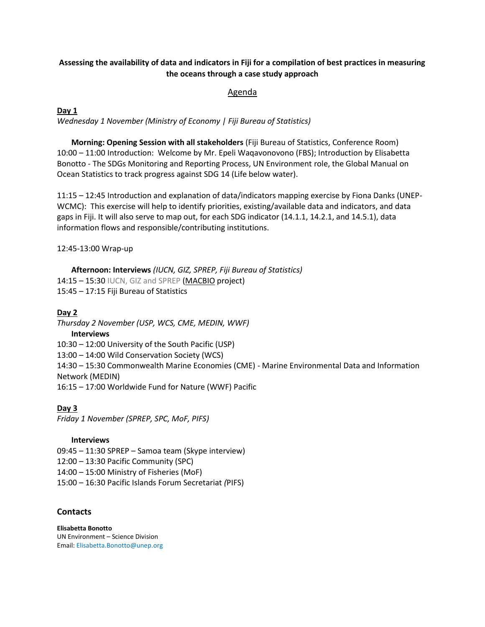# **Assessing the availability of data and indicators in Fiji for a compilation of best practices in measuring the oceans through a case study approach**

### Agenda

### **Day 1**

*Wednesday 1 November (Ministry of Economy | Fiji Bureau of Statistics)* 

**Morning: Opening Session with all stakeholders** (Fiji Bureau of Statistics, Conference Room) 10:00 – 11:00 Introduction: Welcome by Mr. Epeli Waqavonovono (FBS); Introduction by Elisabetta Bonotto - The SDGs Monitoring and Reporting Process, UN Environment role, the Global Manual on Ocean Statistics to track progress against SDG 14 (Life below water).

11:15 – 12:45 Introduction and explanation of data/indicators mapping exercise by Fiona Danks (UNEP-WCMC): This exercise will help to identify priorities, existing/available data and indicators, and data gaps in Fiji. It will also serve to map out, for each SDG indicator (14.1.1, 14.2.1, and 14.5.1), data information flows and responsible/contributing institutions.

12:45-13:00 Wrap-up

**Afternoon: Interviews** *(IUCN, GIZ, SPREP, Fiji Bureau of Statistics)* 14:15 – 15:30 IUCN, GIZ and SPREP (MACBIO project) 15:45 – 17:15 Fiji Bureau of Statistics

## **Day 2**

*Thursday 2 November (USP, WCS, CME, MEDIN, WWF)* **Interviews** 10:30 – 12:00 University of the South Pacific (USP) 13:00 – 14:00 Wild Conservation Society (WCS) 14:30 – 15:30 Commonwealth Marine Economies (CME) - Marine Environmental Data and Information Network (MEDIN) 16:15 – 17:00 Worldwide Fund for Nature (WWF) Pacific

**Day 3** *Friday 1 November (SPREP, SPC, MoF, PIFS)*

#### **Interviews**

09:45 – 11:30 SPREP – Samoa team (Skype interview) 12:00 – 13:30 Pacific Community (SPC) 14:00 – 15:00 Ministry of Fisheries (MoF) 15:00 – 16:30 Pacific Islands Forum Secretariat *(*PIFS)

#### **Contacts**

**Elisabetta Bonotto** UN Environment – Science Division Email[: Elisabetta.Bonotto@unep.org](mailto:Elisabetta.Bonotto@unep.org)